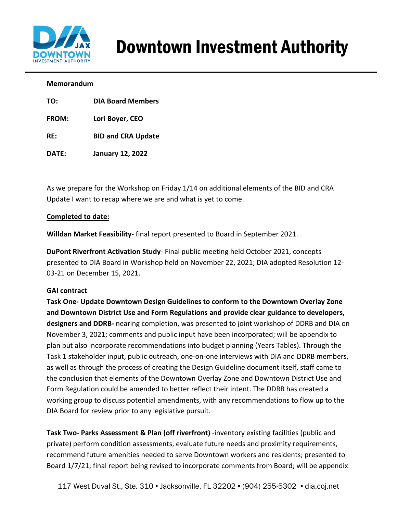

# Downtown Investment Authority

#### **Memorandum**

| TO: | <b>DIA Board Members</b> |
|-----|--------------------------|
|     |                          |

**FROM: Lori Boyer, CEO**

**RE: BID and CRA Update**

**DATE: January 12, 2022**

As we prepare for the Workshop on Friday 1/14 on additional elements of the BID and CRA Update I want to recap where we are and what is yet to come.

### **Completed to date:**

**Willdan Market Feasibility-** final report presented to Board in September 2021.

**DuPont Riverfront Activation Study**- Final public meeting held October 2021, concepts presented to DIA Board in Workshop held on November 22, 2021; DIA adopted Resolution 12- 03-21 on December 15, 2021.

### **GAI contract**

**Task One- Update Downtown Design Guidelines to conform to the Downtown Overlay Zone and Downtown District Use and Form Regulations and provide clear guidance to developers, designers and DDRB-** nearing completion, was presented to joint workshop of DDRB and DIA on November 3, 2021; comments and public input have been incorporated; will be appendix to plan but also incorporate recommendations into budget planning (Years Tables). Through the Task 1 stakeholder input, public outreach, one-on-one interviews with DIA and DDRB members, as well as through the process of creating the Design Guideline document itself, staff came to the conclusion that elements of the Downtown Overlay Zone and Downtown District Use and Form Regulation could be amended to better reflect their intent. The DDRB has created a working group to discuss potential amendments, with any recommendations to flow up to the DIA Board for review prior to any legislative pursuit.

**Task Two- Parks Assessment & Plan (off riverfront)** -inventory existing facilities (public and private) perform condition assessments, evaluate future needs and proximity requirements, recommend future amenities needed to serve Downtown workers and residents; presented to Board 1/7/21; final report being revised to incorporate comments from Board; will be appendix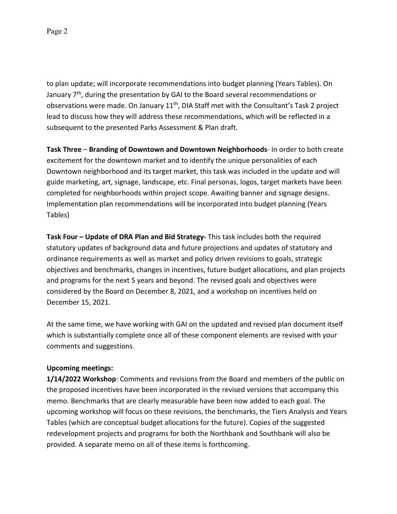to plan update; will incorporate recommendations into budget planning (Years Tables). On January 7<sup>th</sup>, during the presentation by GAI to the Board several recommendations or observations were made. On January 11<sup>th</sup>, DIA Staff met with the Consultant's Task 2 project lead to discuss how they will address these recommendations, which will be reflected in a subsequent to the presented Parks Assessment & Plan draft.

**Task Three** – **Branding of Downtown and Downtown Neighborhoods**- In order to both create excitement for the downtown market and to identify the unique personalities of each Downtown neighborhood and its target market, this task was included in the update and will guide marketing, art, signage, landscape, etc. Final personas, logos, target markets have been completed for neighborhoods within project scope. Awaiting banner and signage designs. Implementation plan recommendations will be incorporated into budget planning (Years Tables)

**Task Four – Update of DRA Plan and Bid Strategy-** This task includes both the required statutory updates of background data and future projections and updates of statutory and ordinance requirements as well as market and policy driven revisions to goals, strategic objectives and benchmarks, changes in incentives, future budget allocations, and plan projects and programs for the next 5 years and beyond. The revised goals and objectives were considered by the Board on December 8, 2021, and a workshop on incentives held on December 15, 2021.

At the same time, we have working with GAI on the updated and revised plan document itself which is substantially complete once all of these component elements are revised with your comments and suggestions.

## **Upcoming meetings:**

**1/14/2022 Workshop**: Comments and revisions from the Board and members of the public on the proposed incentives have been incorporated in the revised versions that accompany this memo. Benchmarks that are clearly measurable have been now added to each goal. The upcoming workshop will focus on these revisions, the benchmarks, the Tiers Analysis and Years Tables (which are conceptual budget allocations for the future). Copies of the suggested redevelopment projects and programs for both the Northbank and Southbank will also be provided. A separate memo on all of these items is forthcoming.